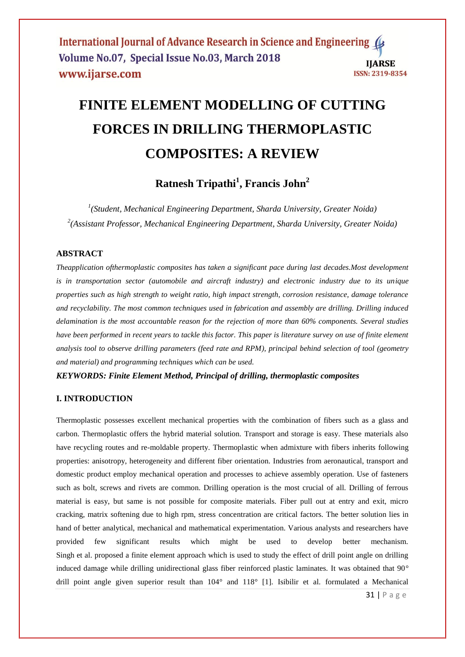International Journal of Advance Research in Science and Engineering ( Volume No.07, Special Issue No.03, March 2018 **IIARSE** www.ijarse.com ISSN: 2319-8354

# **FINITE ELEMENT MODELLING OF CUTTING FORCES IN DRILLING THERMOPLASTIC COMPOSITES: A REVIEW**

**Ratnesh Tripathi<sup>1</sup> , Francis John<sup>2</sup>**

*1 (Student, Mechanical Engineering Department, Sharda University, Greater Noida) 2 (Assistant Professor, Mechanical Engineering Department, Sharda University, Greater Noida)*

# **ABSTRACT**

*Theapplication ofthermoplastic composites has taken a significant pace during last decades.Most development is in transportation sector (automobile and aircraft industry) and electronic industry due to its unique properties such as high strength to weight ratio, high impact strength, corrosion resistance, damage tolerance and recyclability. The most common techniques used in fabrication and assembly are drilling. Drilling induced delamination is the most accountable reason for the rejection of more than 60% components. Several studies have been performed in recent years to tackle this factor. This paper is literature survey on use of finite element analysis tool to observe drilling parameters (feed rate and RPM), principal behind selection of tool (geometry and material) and programming techniques which can be used.*

*KEYWORDS: Finite Element Method, Principal of drilling, thermoplastic composites*

# **I. INTRODUCTION**

Thermoplastic possesses excellent mechanical properties with the combination of fibers such as a glass and carbon. Thermoplastic offers the hybrid material solution. Transport and storage is easy. These materials also have recycling routes and re-moldable property. Thermoplastic when admixture with fibers inherits following properties: anisotropy, heterogeneity and different fiber orientation. Industries from aeronautical, transport and domestic product employ mechanical operation and processes to achieve assembly operation. Use of fasteners such as bolt, screws and rivets are common. Drilling operation is the most crucial of all. Drilling of ferrous material is easy, but same is not possible for composite materials. Fiber pull out at entry and exit, micro cracking, matrix softening due to high rpm, stress concentration are critical factors. The better solution lies in hand of better analytical, mechanical and mathematical experimentation. Various analysts and researchers have provided few significant results which might be used to develop better mechanism. Singh et al. proposed a finite element approach which is used to study the effect of drill point angle on drilling induced damage while drilling unidirectional glass fiber reinforced plastic laminates. It was obtained that 90° drill point angle given superior result than 104° and 118° [1]. Isibilir et al. formulated a Mechanical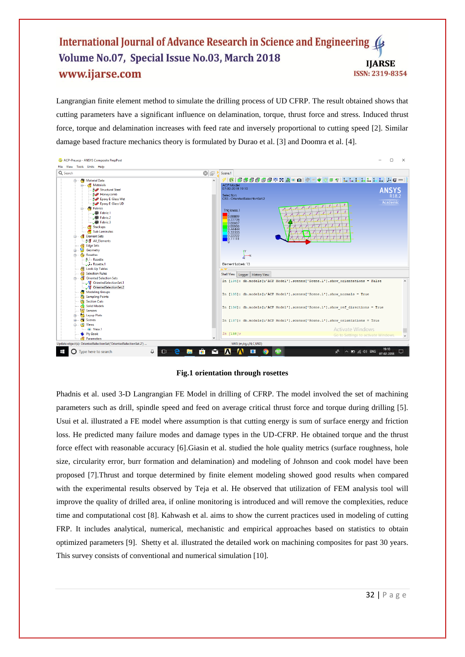# International Journal of Advance Research in Science and Engineering ( Volume No.07, Special Issue No.03, March 2018 **IIARSE** www.ijarse.com ISSN: 2319-8354

Langrangian finite element method to simulate the drilling process of UD CFRP. The result obtained shows that cutting parameters have a significant influence on delamination, torque, thrust force and stress. Induced thrust force, torque and delamination increases with feed rate and inversely proportional to cutting speed [2]. Similar damage based fracture mechanics theory is formulated by Durao et al. [3] and Doomra et al. [4].



#### **Fig.1 orientation through rosettes**

Phadnis et al. used 3-D Langrangian FE Model in drilling of CFRP. The model involved the set of machining parameters such as drill, spindle speed and feed on average critical thrust force and torque during drilling [5]. Usui et al. illustrated a FE model where assumption is that cutting energy is sum of surface energy and friction loss. He predicted many failure modes and damage types in the UD-CFRP. He obtained torque and the thrust force effect with reasonable accuracy [6].Giasin et al. studied the hole quality metrics (surface roughness, hole size, circularity error, burr formation and delamination) and modeling of Johnson and cook model have been proposed [7].Thrust and torque determined by finite element modeling showed good results when compared with the experimental results observed by Teja et al. He observed that utilization of FEM analysis tool will improve the quality of drilled area, if online monitoring is introduced and will remove the complexities, reduce time and computational cost [8]. Kahwash et al. aims to show the current practices used in modeling of cutting FRP. It includes analytical, numerical, mechanistic and empirical approaches based on statistics to obtain optimized parameters [9]. Shetty et al. illustrated the detailed work on machining composites for past 30 years. This survey consists of conventional and numerical simulation [10].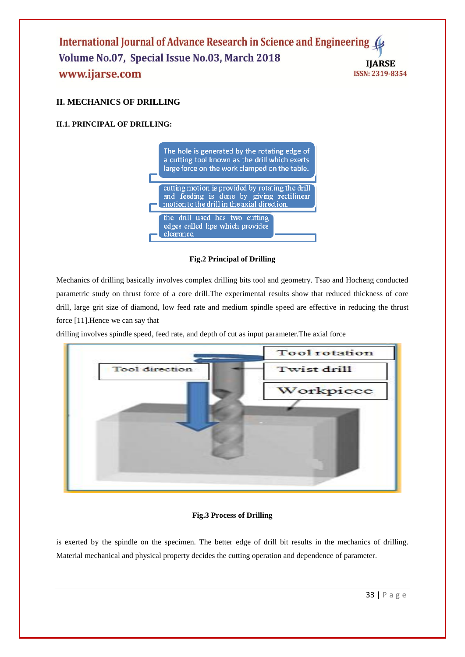## International Journal of Advance Research in Science and Engineering ( Volume No.07, Special Issue No.03, March 2018 **IIARSE** www.ijarse.com ISSN: 2319-8354

# **II. MECHANICS OF DRILLING**

# **II.1. PRINCIPAL OF DRILLING:**



# **Fig.2 Principal of Drilling**

Mechanics of drilling basically involves complex drilling bits tool and geometry. Tsao and Hocheng conducted parametric study on thrust force of a core drill.The experimental results show that reduced thickness of core drill, large grit size of diamond, low feed rate and medium spindle speed are effective in reducing the thrust force [11].Hence we can say that

drilling involves spindle speed, feed rate, and depth of cut as input parameter.The axial force



# **Fig.3 Process of Drilling**

is exerted by the spindle on the specimen. The better edge of drill bit results in the mechanics of drilling. Material mechanical and physical property decides the cutting operation and dependence of parameter.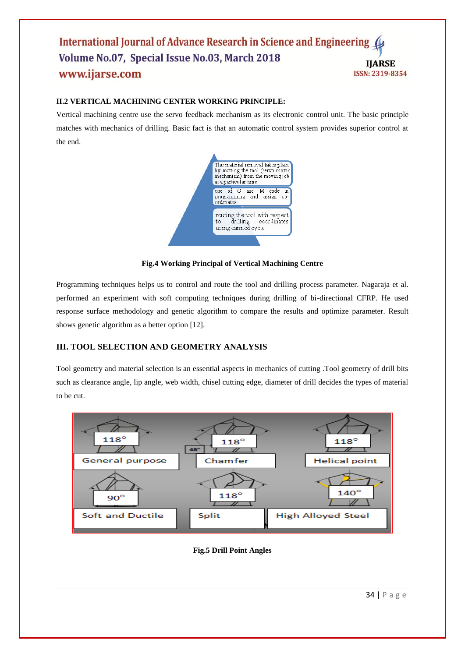## International Journal of Advance Research in Science and Engineering Volume No.07, Special Issue No.03, March 2018 **IIARSE** www.ijarse.com ISSN: 2319-8354

# **II.2 VERTICAL MACHINING CENTER WORKING PRINCIPLE:**

Vertical machining centre use the servo feedback mechanism as its electronic control unit. The basic principle matches with mechanics of drilling. Basic fact is that an automatic control system provides superior control at the end.



## **Fig.4 Working Principal of Vertical Machining Centre**

Programming techniques helps us to control and route the tool and drilling process parameter. Nagaraja et al. performed an experiment with soft computing techniques during drilling of bi-directional CFRP. He used response surface methodology and genetic algorithm to compare the results and optimize parameter. Result shows genetic algorithm as a better option [12].

# **III. TOOL SELECTION AND GEOMETRY ANALYSIS**

Tool geometry and material selection is an essential aspects in mechanics of cutting .Tool geometry of drill bits such as clearance angle, lip angle, web width, chisel cutting edge, diameter of drill decides the types of material to be cut.



## **Fig.5 Drill Point Angles**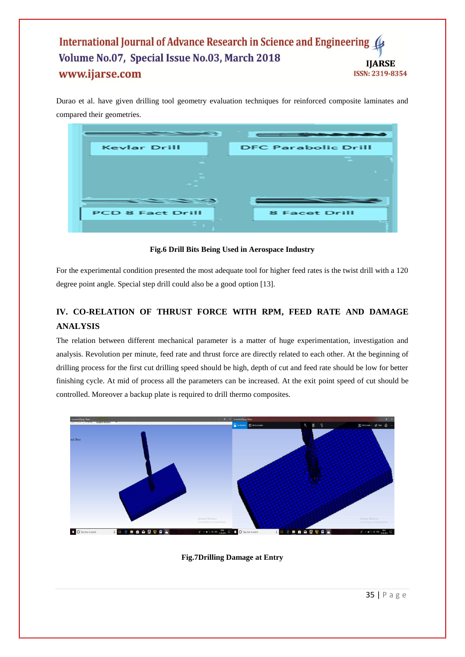# International Journal of Advance Research in Science and Engineering Volume No.07, Special Issue No.03, March 2018 **IIARSE** www.ijarse.com ISSN: 2319-8354

Durao et al. have given drilling tool geometry evaluation techniques for reinforced composite laminates and compared their geometries.

| <b>Kevlar Drill</b>                                                                                                                                    | <b>DFC Parabolic Drill</b> |
|--------------------------------------------------------------------------------------------------------------------------------------------------------|----------------------------|
|                                                                                                                                                        |                            |
|                                                                                                                                                        |                            |
| <u> De Carrier de Carrier de Carrier de Carrier de Carrier de Carrier de Carrier de Carrier de Carrier de Carrier de Ca</u><br><b>PCD 8 Fact Drill</b> | <b>8 Facet Drill</b>       |
|                                                                                                                                                        |                            |

**Fig.6 Drill Bits Being Used in Aerospace Industry**

For the experimental condition presented the most adequate tool for higher feed rates is the twist drill with a 120 degree point angle. Special step drill could also be a good option [13].

# **IV. CO-RELATION OF THRUST FORCE WITH RPM, FEED RATE AND DAMAGE ANALYSIS**

The relation between different mechanical parameter is a matter of huge experimentation, investigation and analysis. Revolution per minute, feed rate and thrust force are directly related to each other. At the beginning of drilling process for the first cut drilling speed should be high, depth of cut and feed rate should be low for better finishing cycle. At mid of process all the parameters can be increased. At the exit point speed of cut should be controlled. Moreover a backup plate is required to drill thermo composites.



**Fig.7Drilling Damage at Entry**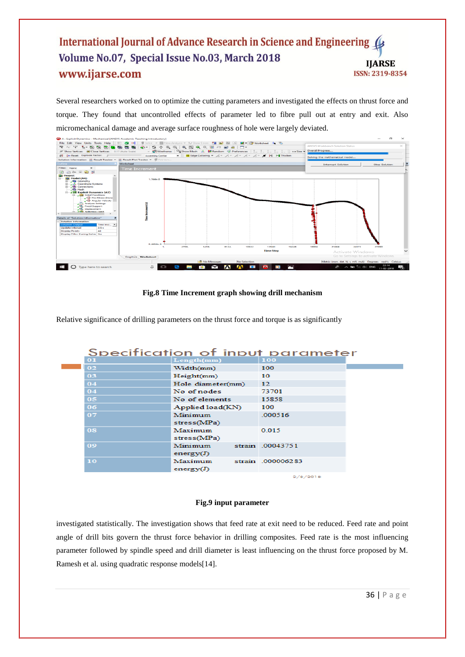# International Journal of Advance Research in Science and Engineering 4 Volume No.07, Special Issue No.03, March 2018 **IJARSE** www.ijarse.com ISSN: 2319-8354

Several researchers worked on to optimize the cutting parameters and investigated the effects on thrust force and torque. They found that uncontrolled effects of parameter led to fibre pull out at entry and exit. Also micromechanical damage and average surface roughness of hole were largely deviated.



## **Fig.8 Time Increment graph showing drill mechanism**

Relative significance of drilling parameters on the thrust force and torque is as significantly

| Specification of input parameter |                   |                  |  |  |
|----------------------------------|-------------------|------------------|--|--|
| $\bf{01}$                        | Length(mm)        | 100              |  |  |
| 02                               | Width(mm)         | 100              |  |  |
| 03                               | Height(mm)        | 10               |  |  |
| 04                               | Hole diameter(mm) | $\overline{12}$  |  |  |
| 04                               | No of nodes       | 73701            |  |  |
| 05                               | No of elements    | 15858            |  |  |
| 06                               | Applied load(KN)  | 100              |  |  |
| 07                               | Minimum           | .000516          |  |  |
|                                  | stress(MPa)       |                  |  |  |
| 08                               | Maximum           | 0.015            |  |  |
|                                  | stress(MPa)       |                  |  |  |
| 09                               | Minimum           | strain .00043751 |  |  |
|                                  | energy $(J)$      |                  |  |  |
| 10                               | Maximum           | strain 000006283 |  |  |
|                                  | energy $(J)$      |                  |  |  |
|                                  |                   | 2/8/2018         |  |  |

## **Fig.9 input parameter**

investigated statistically. The investigation shows that feed rate at exit need to be reduced. Feed rate and point angle of drill bits govern the thrust force behavior in drilling composites. Feed rate is the most influencing parameter followed by spindle speed and drill diameter is least influencing on the thrust force proposed by M. Ramesh et al. using quadratic response models[14].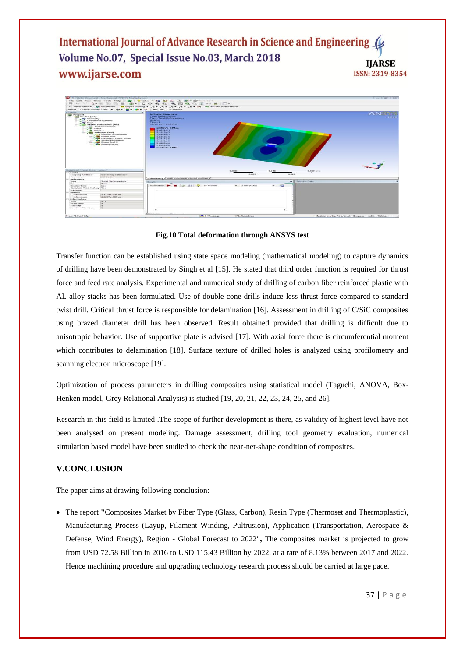International Journal of Advance Research in Science and Engineering Volume No.07, Special Issue No.03, March 2018 **IJARSE** www.ijarse.com ISSN: 2319-8354



**Fig.10 Total deformation through ANSYS test**

Transfer function can be established using state space modeling (mathematical modeling) to capture dynamics of drilling have been demonstrated by Singh et al [15]. He stated that third order function is required for thrust force and feed rate analysis. Experimental and numerical study of drilling of carbon fiber reinforced plastic with AL alloy stacks has been formulated. Use of double cone drills induce less thrust force compared to standard twist drill. Critical thrust force is responsible for delamination [16]. Assessment in drilling of C/SiC composites using brazed diameter drill has been observed. Result obtained provided that drilling is difficult due to anisotropic behavior. Use of supportive plate is advised [17]. With axial force there is circumferential moment which contributes to delamination [18]. Surface texture of drilled holes is analyzed using profilometry and scanning electron microscope [19].

Optimization of process parameters in drilling composites using statistical model (Taguchi, ANOVA, Box-Henken model, Grey Relational Analysis) is studied [19, 20, 21, 22, 23, 24, 25, and 26].

Research in this field is limited .The scope of further development is there, as validity of highest level have not been analysed on present modeling. Damage assessment, drilling tool geometry evaluation, numerical simulation based model have been studied to check the near-net-shape condition of composites.

# **V.CONCLUSION**

The paper aims at drawing following conclusion:

 The report **"**[Composites Market](http://www.marketsandmarkets.com/Market-Reports/composite-market-200051282.html) by Fiber Type (Glass, Carbon), Resin Type (Thermoset and Thermoplastic), Manufacturing Process (Layup, Filament Winding, Pultrusion), Application (Transportation, Aerospace & Defense, Wind Energy), Region - Global Forecast to 2022"**,** The composites market is projected to grow from USD 72.58 Billion in 2016 to USD 115.43 Billion by 2022, at a rate of 8.13% between 2017 and 2022. Hence machining procedure and upgrading technology research process should be carried at large pace.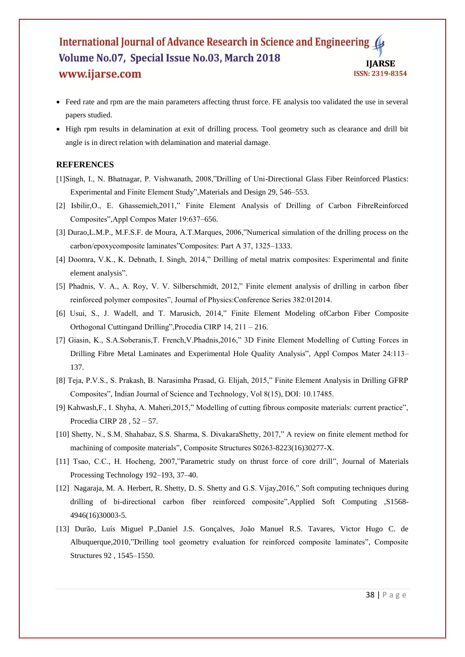#### International Journal of Advance Research in Science and Engineering Volume No.07, Special Issue No.03, March 2018 **IJARSE** www.ijarse.com ISSN: 2319-8354

- Feed rate and rpm are the main parameters affecting thrust force. FE analysis too validated the use in several papers studied.
- High rpm results in delamination at exit of drilling process. Tool geometry such as clearance and drill bit angle is in direct relation with delamination and material damage.

# **REFERENCES**

- [1]Singh, I., N. Bhatnagar, P. Vishwanath, 2008,"Drilling of Uni-Directional Glass Fiber Reinforced Plastics: Experimental and Finite Element Study",Materials and Design 29, 546–553.
- [2] Isbilir,O., E. Ghassemieh,2011," Finite Element Analysis of Drilling of Carbon FibreReinforced Composites",Appl Compos Mater 19:637–656.
- [3] Durao,L.M.P., M.F.S.F. de Moura, A.T.Marques, 2006,"Numerical simulation of the drilling process on the carbon/epoxycomposite laminates"Composites: Part A 37, 1325–1333.
- [4] Doomra, V.K., K. Debnath, I. Singh, 2014," Drilling of metal matrix composites: Experimental and finite element analysis".
- [5] Phadnis, V. A., A. Roy, V. V. Silberschmidt, 2012," Finite element analysis of drilling in carbon fiber reinforced polymer composites", Journal of Physics:Conference Series 382:012014.
- [6] Usui, S., J. Wadell, and T. Marusich, 2014," Finite Element Modeling ofCarbon Fiber Composite Orthogonal Cuttingand Drilling",Procedia CIRP 14, 211 – 216.
- [7] Giasin, K., S.A.Soberanis,T. French,V.Phadnis,2016," 3D Finite Element Modelling of Cutting Forces in Drilling Fibre Metal Laminates and Experimental Hole Quality Analysis", Appl Compos Mater 24:113– 137.
- [8] Teja, P.V.S., S. Prakash, B. Narasimha Prasad, G. Elijah, 2015," Finite Element Analysis in Drilling GFRP Composites", Indian Journal of Science and Technology, Vol 8(15), DOI: 10.17485.
- [9] Kahwash,F., I. Shyha, A. Maheri,2015," Modelling of cutting fibrous composite materials: current practice", Procedia CIRP 28 , 52 – 57.
- [10] Shetty, N., S.M. Shahabaz, S.S. Sharma, S. DivakaraShetty, 2017," A review on finite element method for machining of composite materials", Composite Structures S0263-8223(16)30277-X.
- [11] Tsao, C.C., H. Hocheng, 2007,"Parametric study on thrust force of core drill", Journal of Materials Processing Technology 192–193, 37–40.
- [12] Nagaraja, M. A. Herbert, R. Shetty, D. S. Shetty and G.S. Vijay,2016," Soft computing techniques during drilling of bi-directional carbon fiber reinforced composite",Applied Soft Computing ,S1568- 4946(16)30003-5.
- [13] Durão, Luís Miguel P.,Daniel J.S. Gonçalves, João Manuel R.S. Tavares, Victor Hugo C. de Albuquerque,2010,"Drilling tool geometry evaluation for reinforced composite laminates", Composite Structures 92 , 1545–1550.